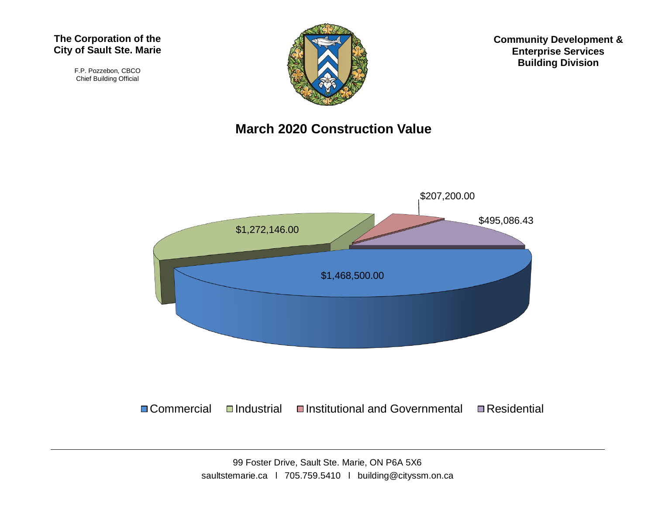#### **The Corporation of the City of Sault Ste. Marie**

F.P. Pozzebon, CBCO Chief Building Official



**Community Development & Enterprise Services Building Division**

#### **March 2020 Construction Value**



 $\Box$  Commercial  $\Box$ Industrial  $\Box$ Institutional and Governmental  $\Box$  Residential

99 Foster Drive, Sault Ste. Marie, ON P6A 5X6 saultstemarie.ca | 705.759.5410 | building@cityssm.on.ca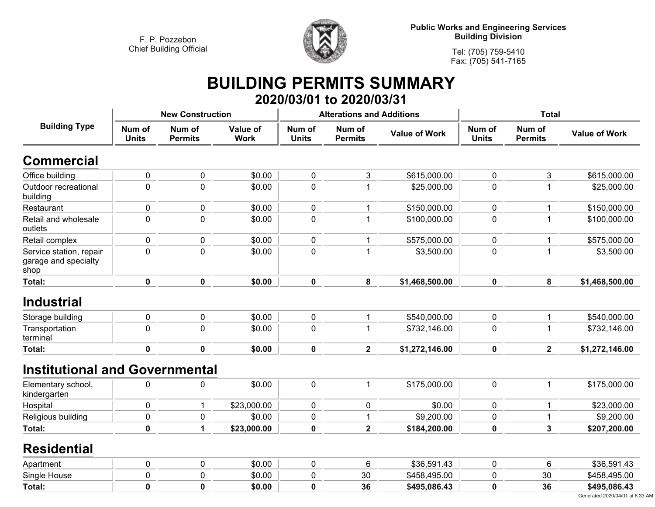

**Tel: (705) 759-5410 Fax: (705) 541-7165**

## **BUILDING PERMITS SUMMARY 2020/03/01 to 2020/03/31**

| <b>Building Type</b>                                    | <b>New Construction</b> |                          |                         |                        | <b>Alterations and Additions</b> |                      | <b>Total</b>           |                          |                      |
|---------------------------------------------------------|-------------------------|--------------------------|-------------------------|------------------------|----------------------------------|----------------------|------------------------|--------------------------|----------------------|
|                                                         | Num of<br><b>Units</b>  | Num of<br><b>Permits</b> | Value of<br><b>Work</b> | Num of<br><b>Units</b> | Num of<br><b>Permits</b>         | <b>Value of Work</b> | Num of<br><b>Units</b> | Num of<br><b>Permits</b> | <b>Value of Work</b> |
| <b>Commercial</b>                                       |                         |                          |                         |                        |                                  |                      |                        |                          |                      |
| Office building                                         | $\pmb{0}$               | 0                        | \$0.00                  | $\pmb{0}$              | 3                                | \$615,000.00         | $\mathbf 0$            | 3                        | \$615,000.00         |
| Outdoor recreational<br>building                        | $\mathbf 0$             | 0                        | \$0.00                  | $\mathbf 0$            | 1                                | \$25,000.00          | $\mathbf 0$            | 1                        | \$25,000.00          |
| Restaurant                                              | $\mathbf 0$             | 0                        | \$0.00                  | $\pmb{0}$              | 1                                | \$150,000.00         | $\mathbf 0$            | $\mathbf 1$              | \$150,000.00         |
| Retail and wholesale<br>outlets                         | $\mathbf 0$             | $\mathbf 0$              | \$0.00                  | 0                      | 1                                | \$100,000.00         | 0                      | $\mathbf 1$              | \$100,000.00         |
| Retail complex                                          | 0                       | 0                        | \$0.00                  | $\pmb{0}$              | 1                                | \$575,000.00         | 0                      | 1                        | \$575,000.00         |
| Service station, repair<br>garage and specialty<br>shop | $\mathbf 0$             | $\mathbf 0$              | \$0.00                  | $\mathbf 0$            | 1                                | \$3,500.00           | $\mathbf 0$            | $\mathbf{1}$             | \$3,500.00           |
| Total:                                                  | $\mathbf 0$             | $\mathbf 0$              | \$0.00                  | $\mathbf 0$            | 8                                | \$1,468,500.00       | $\mathbf 0$            | 8                        | \$1,468,500.00       |
| <b>Industrial</b>                                       |                         |                          |                         |                        |                                  |                      |                        |                          |                      |
| Storage building                                        | $\pmb{0}$               | 0                        | \$0.00                  | $\mathbf 0$            | $\mathbf{1}$                     | \$540,000.00         | $\mathbf 0$            | $\mathbf{1}$             | \$540,000.00         |
| Transportation<br>terminal                              | $\mathbf 0$             | 0                        | \$0.00                  | $\pmb{0}$              | 1                                | \$732,146.00         | $\pmb{0}$              | 1                        | \$732,146.00         |
| Total:                                                  | $\mathbf 0$             | $\mathbf{0}$             | \$0.00                  | $\pmb{0}$              | $\overline{2}$                   | \$1,272,146.00       | $\mathbf 0$            | $\overline{\mathbf{2}}$  | \$1,272,146.00       |
| <b>Institutional and Governmental</b>                   |                         |                          |                         |                        |                                  |                      |                        |                          |                      |
| Elementary school,<br>kindergarten                      | 0                       | 0                        | \$0.00                  | $\mathbf 0$            | $\mathbf{1}$                     | \$175,000.00         | $\pmb{0}$              | $\mathbf{1}$             | \$175,000.00         |
| Hospital                                                | $\pmb{0}$               | 1                        | \$23,000.00             | 0                      | 0                                | \$0.00               | $\mathbf 0$            | 1                        | \$23,000.00          |
| Religious building                                      | 0                       | 0                        | \$0.00                  | $\pmb{0}$              | 1                                | \$9,200.00           | $\pmb{0}$              | 1                        | \$9,200.00           |
| Total:                                                  | $\mathbf 0$             | 1                        | \$23,000.00             | $\mathbf 0$            | $\overline{\mathbf{2}}$          | \$184,200.00         | 0                      | $\overline{3}$           | \$207,200.00         |
| <b>Residential</b>                                      |                         |                          |                         |                        |                                  |                      |                        |                          |                      |
| Apartment                                               | 0                       | 0                        | \$0.00                  | $\pmb{0}$              | 6                                | \$36,591.43          | 0                      | 6                        | \$36,591.43          |
| Single House                                            | 0                       | 0                        | \$0.00                  | 0                      | 30                               | \$458,495.00         | 0                      | 30                       | \$458,495.00         |
| Total:                                                  | $\mathbf 0$             | $\mathbf 0$              | \$0.00                  | $\mathbf 0$            | 36                               | \$495,086.43         | $\mathbf 0$            | 36                       | \$495,086.43         |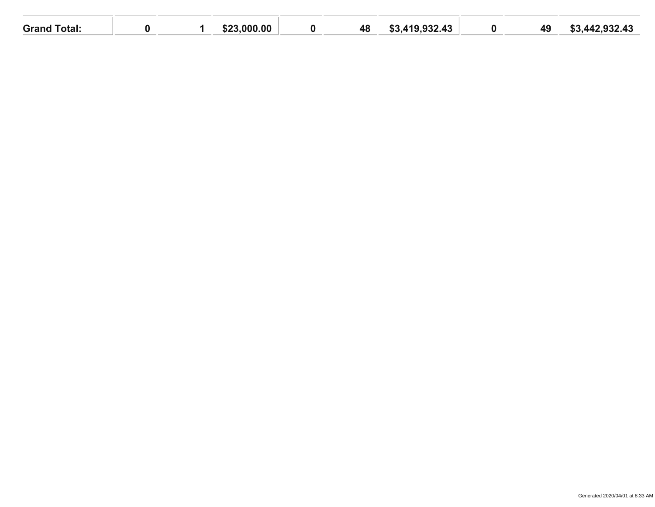| Grand <sup>-</sup><br>Total: |  | 0.000, 00<br>mnn.<br>.ה∠.ה | 48 | .419,932.43<br><u>ດາ</u><br>. | $\mathbf{\Lambda}$<br>┱ত | .442.932.43<br>നം. |
|------------------------------|--|----------------------------|----|-------------------------------|--------------------------|--------------------|
|                              |  |                            |    |                               |                          |                    |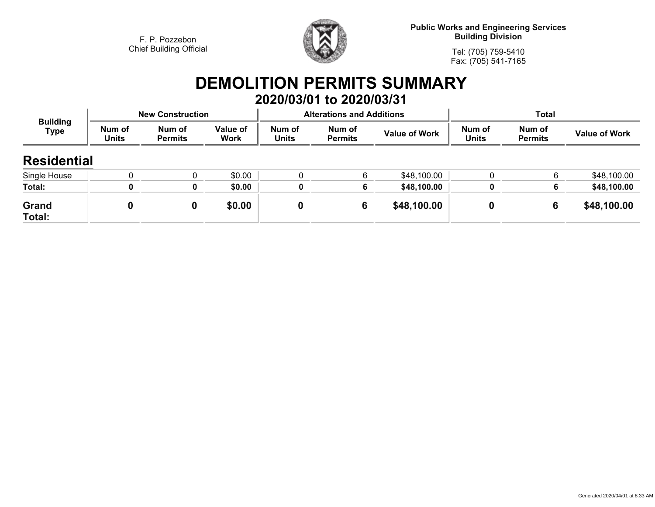

**Public Works and Engineering Services Building Division**

**Tel: (705) 759-5410Fax: (705) 541-7165**

## **DEMOLITION PERMITS SUMMARY 2020/03/01 to 2020/03/31**

| <b>Building</b><br>Type |                        | <b>New Construction</b>  |                  |                        | <b>Alterations and Additions</b> |                      | <b>Total</b>           |                          |                      |
|-------------------------|------------------------|--------------------------|------------------|------------------------|----------------------------------|----------------------|------------------------|--------------------------|----------------------|
|                         | Num of<br><b>Units</b> | Num of<br><b>Permits</b> | Value of<br>Work | Num of<br><b>Units</b> | Num of<br><b>Permits</b>         | <b>Value of Work</b> | Num of<br><b>Units</b> | Num of<br><b>Permits</b> | <b>Value of Work</b> |
| <b>Residential</b>      |                        |                          |                  |                        |                                  |                      |                        |                          |                      |
| Single House            |                        |                          | \$0.00           |                        | 6                                | \$48,100.00          |                        | 6                        | \$48,100.00          |
| Total:                  |                        | 0                        | \$0.00           |                        | 6                                | \$48,100.00          |                        | 6                        | \$48,100.00          |
| Grand<br>Total:         |                        | 0                        | \$0.00           |                        | 6                                | \$48,100.00          |                        | 6                        | \$48,100.00          |